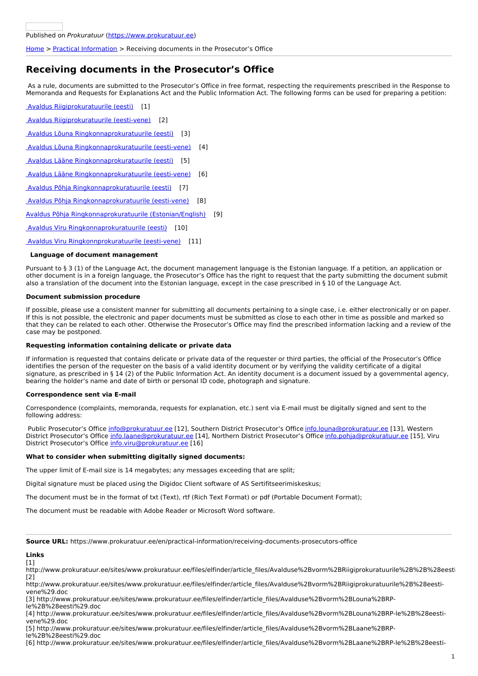### [Home](https://www.prokuratuur.ee/en) > Practical [Information](https://www.prokuratuur.ee/en/practical-information) > Receiving documents in the Prosecutor's Office

# **Receiving documents in the Prosecutor's Office**

As a rule, documents are submitted to the Prosecutor's Office in free format, respecting the requirements prescribed in the Response to Memoranda and Requests for Explanations Act and the Public Information Act. The following forms can be used for preparing a petition:

Avaldus [Riigiprokuratuurile](http://www.prokuratuur.ee/sites/www.prokuratuur.ee/files/elfinder/article_files/Avalduse%2Bvorm%2BRiigiprokuratuurile%2B%2B%28eesti%29.doc) (eesti) [1]

Avaldus [Riigiprokuratuurile](http://www.prokuratuur.ee/sites/www.prokuratuur.ee/files/elfinder/article_files/Avalduse%2Bvorm%2BRiigiprokuratuurile%2B%28eesti-vene%29.doc) (eesti-vene) [2]

Avaldus Lõuna [Ringkonnaprokuratuurile](http://www.prokuratuur.ee/sites/www.prokuratuur.ee/files/elfinder/article_files/Avalduse%2Bvorm%2BLouna%2BRP-le%2B%28eesti%29.doc) (eesti) [3]

Avaldus Lõuna [Ringkonnaprokuratuurile](http://www.prokuratuur.ee/sites/www.prokuratuur.ee/files/elfinder/article_files/Avalduse%2Bvorm%2BLouna%2BRP-le%2B%28eesti-vene%29.doc) (eesti-vene) [4]

Avaldus Lääne [Ringkonnaprokuratuurile](http://www.prokuratuur.ee/sites/www.prokuratuur.ee/files/elfinder/article_files/Avalduse%2Bvorm%2BLaane%2BRP-le%2B%28eesti%29.doc) (eesti) [5]

Avaldus Lääne [Ringkonnaprokuratuurile](http://www.prokuratuur.ee/sites/www.prokuratuur.ee/files/elfinder/article_files/Avalduse%2Bvorm%2BLaane%2BRP-le%2B%28eesti-vene%29.doc) (eesti-vene) [6]

Avaldus Põhja [Ringkonnaprokuratuurile](http://www.prokuratuur.ee/sites/www.prokuratuur.ee/files/elfinder/article_files/Avalduse%2Bvorm%2BPohja%2BRP-le%2B%28eesti%29.doc) (eesti) [7]

Avaldus Põhja [Ringkonnaprokuratuurile](http://www.prokuratuur.ee/sites/www.prokuratuur.ee/files/elfinder/article_files/Avalduse%2Bvorm%2BPohja%2BRP-le%2B%28eesti-vene%29.doc) (eesti-vene) [8]

Avaldus Põhja [Ringkonnaprokuratuurile](https://wwwprokuratuur.rik.ee/sites/www.prokuratuur.ee/files/elfinder/article_files/Avalduse vorm P%C3%B5hja Ringkonnaprokuratuurile  %28eesti-inglise%29.doc) (Estonian/English) [9]

Avaldus Viru [Ringkonnaprokuratuurile](http://www.prokuratuur.ee/sites/www.prokuratuur.ee/files/elfinder/article_files/Avalduse%2Bvorm%2BViru%2BRP-le%2B%28eesti%29.doc) (eesti) [10]

Avaldus Viru [Ringkonnprokuratuurile](http://www.prokuratuur.ee/sites/www.prokuratuur.ee/files/elfinder/article_files/Avalduse%2Bvorm%2BViru%2BRP-le%2B%28eesti-vene%29.doc) (eesti-vene) [11]

## **Language of document management**

Pursuant to § 3 (1) of the Language Act, the document management language is the Estonian language. If a petition, an application or other document is in a foreign language, the Prosecutor's Office has the right to request that the party submitting the document submit also a translation of the document into the Estonian language, except in the case prescribed in § 10 of the Language Act.

#### **Document submission procedure**

If possible, please use a consistent manner for submitting all documents pertaining to a single case, i.e. either electronically or on paper. If this is not possible, the electronic and paper documents must be submitted as close to each other in time as possible and marked so that they can be related to each other. Otherwise the Prosecutor's Office may find the prescribed information lacking and a review of the case may be postponed.

#### **Requesting information containing delicate or private data**

If information is requested that contains delicate or private data of the requester or third parties, the official of the Prosecutor's Office identifies the person of the requester on the basis of a valid identity document or by verifying the validity certificate of a digital signature, as prescribed in § 14 (2) of the Public Information Act. An identity document is a document issued by a governmental agency, bearing the holder's name and date of birth or personal ID code, photograph and signature.

## **Correspondence sent via E-mail**

Correspondence (complaints, memoranda, requests for explanation, etc.) sent via E-mail must be digitally signed and sent to the following address:

Public Prosecutor's Office [info@prokuratuur.ee](mailto:info@prokuratuur.ee) [12], Southern District Prosecutor's Office [info.louna@prokuratuur.ee](mailto:info.louna@prokuratuur.ee) [13], Western District Prosecutor's Office [info.laane@prokuratuur.ee](mailto:info.laane@prokuratuur.ee) [14], Northern District Prosecutor's Office [info.pohja@prokuratuur.ee](mailto:info.pohja@prokuratuur.ee) [15], Viru District Prosecutor's Office [info.viru@prokuratuur.ee](mailto:info.viru@prokuratuur.ee) [16]

## **What to consider when submitting digitally signed documents:**

The upper limit of E-mail size is 14 megabytes; any messages exceeding that are split;

Digital signature must be placed using the Digidoc Client software of AS Sertifitseerimiskeskus;

The document must be in the format of txt (Text), rtf (Rich Text Format) or pdf (Portable Document Format);

The document must be readable with Adobe Reader or Microsoft Word software.

**Source URL:** https://www.prokuratuur.ee/en/practical-information/receiving-documents-prosecutors-office

## **Links**

[1]

http://www.prokuratuur.ee/sites/www.prokuratuur.ee/files/elfinder/article\_files/Avalduse%2Bvorm%2BRiigiprokuratuurile%2B%2B%28eesti  $[2]$ 

http://www.prokuratuur.ee/sites/www.prokuratuur.ee/files/elfinder/article\_files/Avalduse%2Bvorm%2BRiigiprokuratuurile%2B%28eestivene%29.doc

[3] http://www.prokuratuur.ee/sites/www.prokuratuur.ee/files/elfinder/article\_files/Avalduse%2Bvorm%2BLouna%2BRP-

le%2B%28eesti%29.doc

[4] http://www.prokuratuur.ee/sites/www.prokuratuur.ee/files/elfinder/article\_files/Avalduse%2Bvorm%2BLouna%2BRP-le%2B%28eestivene%29.doc

[5] http://www.prokuratuur.ee/sites/www.prokuratuur.ee/files/elfinder/article\_files/Avalduse%2Bvorm%2BLaane%2BRPle%2B%28eesti%29.doc

[6] http://www.prokuratuur.ee/sites/www.prokuratuur.ee/files/elfinder/article\_files/Avalduse%2Bvorm%2BLaane%2BRP-le%2B%28eesti-